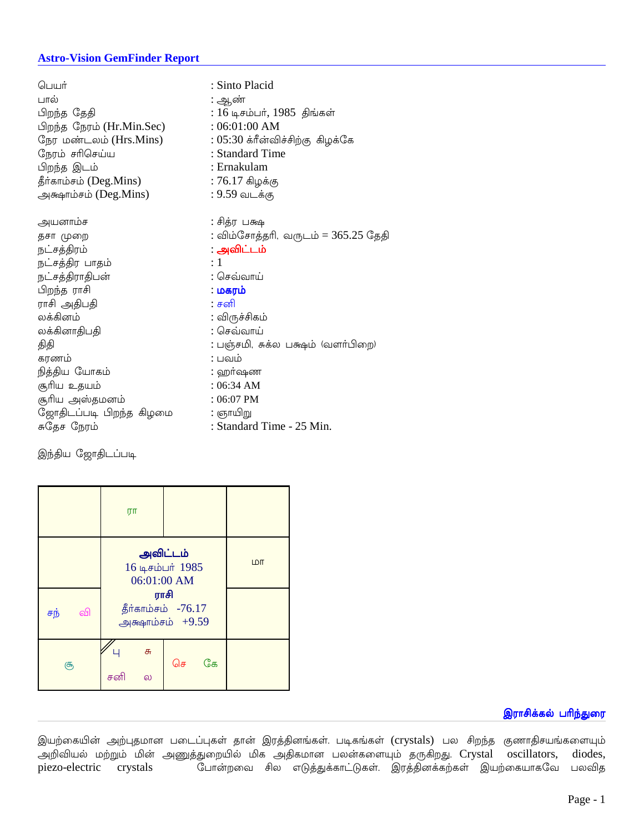### **Astro-Vision GemFinder Report**

| பெயர்                     | : Sinto Placid                      |  |  |
|---------------------------|-------------------------------------|--|--|
| பால்                      | : ஆண்                               |  |  |
| பிறந்த தேதி               | $: 16$ டிசம்பர், $1985$ திங்கள்     |  |  |
| பிறந்த நேரம் (Hr.Min.Sec) | :06:01:00 AM                        |  |  |
| நேர மண்டலம் (Hrs.Mins)    | $: 05:30$ க்ரீன்விச்சிற்கு கிழக்கே  |  |  |
| நேரம் சரிசெய்ய            | : Standard Time                     |  |  |
| பிறந்த இடம்               | : Ernakulam                         |  |  |
| தீர்காம்சம் (Deg.Mins)    | $: 76.17$ கிழக்கு                   |  |  |
| அக்ஷாம்சம் ( $Deg.Mins$ ) | : 9.59 வடக்கு                       |  |  |
|                           |                                     |  |  |
| அயனாம்ச                   | : சித்ர பக்ஷ                        |  |  |
| தசா முறை                  | : விம்சோத்தரி, வருடம் = 365.25 தேதி |  |  |
| நட்சத்திரம்               | : அவிட்டம்                          |  |  |
| நட்சத்திர பாதம்           | $\div 1$                            |  |  |
| நட்சத்திராதிபன்           | : செவ்வாய்                          |  |  |
| பிறந்த ராசி               | ் மகரம்                             |  |  |
| ராசி அதிபதி               | ் சனி                               |  |  |
| லக்கினம்                  | : விருச்சிகம்                       |  |  |
| லக்கினாதிபதி              | : செவ்வாய்                          |  |  |
| திதி                      | : பஞ்சமி, சுக்ல பக்ஷம் (வளா்பிறை)   |  |  |
| கரணம்                     | : பவம்                              |  |  |
| நித்திய யோகம்             | : ஹா்ஷண                             |  |  |
| சூரிய உதயம்               | : 06:34 AM                          |  |  |
| சூரிய அஸ்தமனம்            | $: 06:07$ PM                        |  |  |
| ஜோதிடப்படி பிறந்த கிழமை   | : ஞாயிறு                            |  |  |
| சுதேச நேரம்               | : Standard Time - 25 Min.           |  |  |
|                           |                                     |  |  |

இந்திய ஜோதிடப்படி

|           | ரா                                               |          |            |
|-----------|--------------------------------------------------|----------|------------|
|           | அவிட்டம்<br>16 டிசம்பர் 1985<br>06:01:00 AM      |          | <b>LDT</b> |
| வி<br>சந் | ராசி<br>தீர்காம்சம் -76.17<br>அக்ஷாம்சம் $+9.59$ |          |            |
| சூ        | சு<br>சனி<br>ல                                   | கே<br>செ |            |

# இராசிக்கல் பரிந்துரை

இயற்கையின் அற்புதமான படைப்புகள் தான் இரத்தினங்கள். படிகங்கள் (crystals) பல சிறந்த குணாதிசயங்களையும் .<br>அறிவியல் மற்றும் மின் அணுத்துறையில் மிக அதிகமான பலன்களையும் தருகிறது. Crystal oscillators, diodes, .<br>போன்றவை சில எடுத்துக்காட்டுகள். இரத்தினக்கற்கள் இயற்கையாகவே பலவித piezo-electric crystals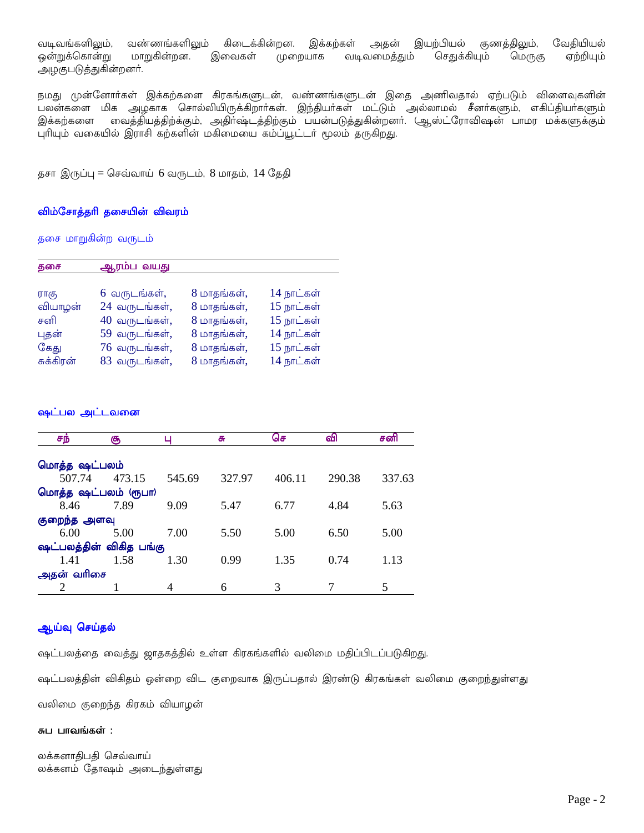வடிவங்களிலும், வண்ணங்களிலும் கிடைக்கின்றன. இக்கற்கள் அதன் இயற்பியல் குணத்திலும், வேகியியல் இவைகள் ஒன்றுக்கொன்று மாறுகின்றன. வடிவமைத்தும் செதுக்கியும் மெருகு ஏற்றியும் முறையாக அழகுபடுத்துகின்றனர்.

நமது முன்னோர்கள் இக்கற்களை கிரகங்களுடன், வண்ணங்களுடன் இதை அணிவதால் ஏற்படும் விளைவுகளின் பலன்களை மிக அழகாக சொல்லியிருக்கிறார்கள். இந்தியர்கள் மட்டும் அல்லாமல் சீனர்களும், எகிப்தியர்களும் இக்கற்களை வைத்தியத்திற்க்கும், அதிர்ஷ்டத்திற்கும் பயன்படுத்துகின்றனர். (ஆஸ்ட்ரோவிஷன் பாமர மக்களுக்கும் புரியும் வகையில் இராசி கற்களின் மகிமையை கம்ப்யூட்டா் மூலம் தருகிறது.

தசா இருப்பு = செவ்வாய் 6 வருடம், 8 மாதம், 14 தேதி

### விம்சோத்தரி தசையின் விவரம்

தசை மாறுகின்ற வருடம்

| தசை       | ஆரம்ப வயது      |             |            |
|-----------|-----------------|-------------|------------|
|           |                 |             |            |
| ராகு      | 6 வருடங்கள்,    | 8 மாதங்கள், | 14 நாட்கள் |
| வியாழன்   | 24 வருடங்கள்,   | 8 மாதங்கள், | 15 நாட்கள் |
| சனி       | $40$ வருடங்கள், | 8 மாதங்கள், | 15 நாட்கள் |
| புதன்     | 59 வருடங்கள்,   | 8 மாதங்கள், | 14 நாட்கள் |
| கேது      | 76 வருடங்கள்,   | 8 மாதங்கள், | 15 நாட்கள் |
| சுக்கிரன் | 83 வருடங்கள்,   | 8 மாதங்கள், | 14 நாட்கள் |

### ஷட்பல அட்டவன<mark>ை</mark>

| சந்                     | சூ     |        | சு     | செ     | வி     | சனி    |
|-------------------------|--------|--------|--------|--------|--------|--------|
|                         |        |        |        |        |        |        |
| மொத்த ஷட்பலம்           |        |        |        |        |        |        |
| 507.74                  | 473.15 | 545.69 | 327.97 | 406.11 | 290.38 | 337.63 |
| மொத்த ஷட்பலம் (ரூபா)    |        |        |        |        |        |        |
| 8.46                    | 7.89   | 9.09   | 5.47   | 6.77   | 4.84   | 5.63   |
| குறைந்த அளவு            |        |        |        |        |        |        |
| 6.00                    | 5.00   | 7.00   | 5.50   | 5.00   | 6.50   | 5.00   |
| ஷட்பலத்தின் விகித பங்கு |        |        |        |        |        |        |
| 1.41                    | 1.58   | 1.30   | 0.99   | 1.35   | 0.74   | 1.13   |
| அதன் வரிசை              |        |        |        |        |        |        |
|                         |        | 4      | 6      |        |        |        |

### ஆய்வு செய்தல்

ஷட்பலத்தை வைத்து ஜாதகத்தில் உள்ள கிரகங்களில் வலிமை மதிப்பிடப்படுகிறது.

ஷட்பலத்தின் விகிதம் ஒன்றை விட குறைவாக இருப்பதால் இரண்டு கிரகங்கள் வலிமை குறைந்துள்ளது

வலிமை குறைந்த கிரகம் வியாழன்

#### சுப பாவங்கள் :

லக்கனாதிபதி செவ்வாய் லக்கனம் தோஷம் அடைந்துள்ளது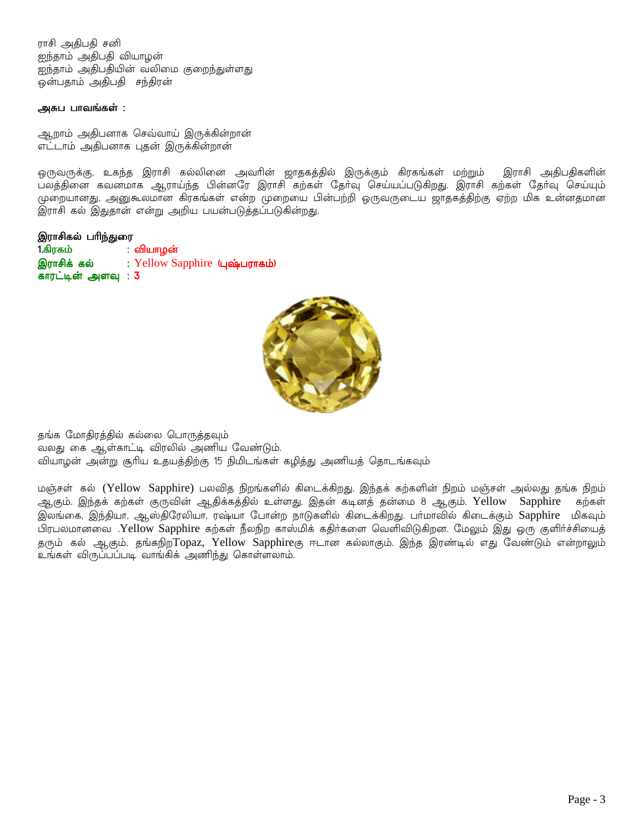ராசி அதிபதி சனி ஐந்தாம் அதிபதி வியாழன் ஐந்தாம் அதிபதியின் வலிமை குறைந்துள்ளது 

### அசுப பாவங்கள் :

ஆறாம் அதிபனாக செவ்வாய் இருக்கின்றான் எட்டாம் அதிபனாக புதன் இருக்கின்றான்

ஒருவருக்கு, உகந்த இராசி கல்லினை அவரின் ஜாதகத்தில் இருக்கும் கிரகங்கள் மற்றும் இராசி அதிபதிகளின் பலத்தினை கவனமாக ஆராய்ந்த பின்னரே இராசி கற்கள் தோவு செய்யப்படுகிறது. இராசி கற்கள் தோவு செய்யும் முறையானது, அனுகூலமான கிரகங்கள் என்ற முறையை பின்பற்றி ஒருவருடைய ஜாதகத்திற்கு ஏற்ற மிக உன்னதமான இராசி கல் இதுதான் என்று அறிய பயன்படுத்தப்படுகின்றது.

#### இராசிகல் பரிந்துரை

| 1.கிரகம்           | : வியாழன்                      |
|--------------------|--------------------------------|
| இராசிக் கல்        | : Yellow Sapphire (புஷ்பராகம்) |
| காரட்டின் அளவு : 3 |                                |



தங்க மோதிரத்தில் கல்லை பொருத்தவும் வலது கை ஆள்காட்டி விரலில் அணிய வேண்டும். வியாழன் அன்று சூரிய உதயத்திற்கு 15 நிமிடங்கள் கழித்து அணியத் தொடங்கவும்

மஞ்சள் கல் (Yellow Sapphire) பலவித நிறங்களில் கிடைக்கிறது. இந்தக் கற்களின் நிறம் மஞ்சள் அல்லது தங்க நிறம் ஆகும். இந்தக் கற்கள் குருவின் ஆதிக்கத்தில் உள்ளது. இதன் கடினத் தன்மை 8 ஆகும். Yellow Sapphire கற்கள் இலங்கை, இந்தியா, ஆஸ்திரேலியா, ரஷ்யா போன்ற நாடுகளில் கிடைக்கிறது. பா்மாவில் கிடைக்கும் Sapphire மிகவும் பிரபலமானவை .Yellow Sapphire கற்கள் நீலநிற காஸ்மிக் கதிர்களை வெளிவிடுகிறன. மேலும் இது ஒரு குளிர்ச்சியைத் தரும் கல் ஆகும். தங்கநிறTopaz, Yellow Sapphireகு ஈடான கல்லாகும். இந்த இரண்டில் எது வேண்டும் என்றாலும் உங்கள் விருப்பப்படி வாங்கிக் அணிந்து கொள்ளலாம்.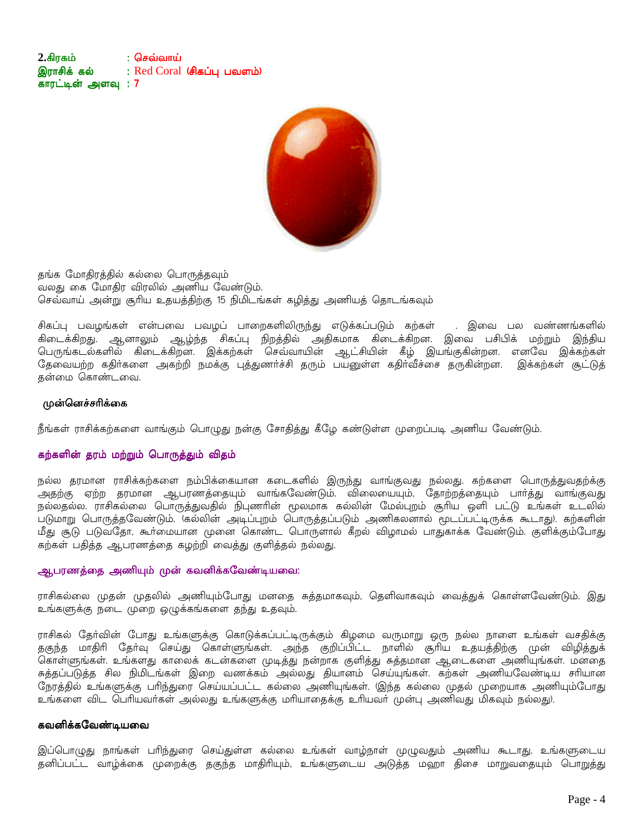2.கிரகம் ் செவ்வாய் இராசிக் கல் : Red Coral (சிகப்பு பவளம்) காரட்டின் அளவு : 7



தங்க மோதிரத்தில் கல்லை பொருத்தவும் வலது கை மோதிர விரலில் அணிய வேண்டும். செவ்வாய் அன்று சூரிய உதயத்திற்கு 15 நிமிடங்கள் கழித்து அணியத் தொடங்கவும்

சிகப்பு பவழங்கள் என்பவை பவழப் பாறைகளிலிருந்து எடுக்கப்படும் கற்கள் . இவை பல வண்ணங்களில் .<br>கிடைக்கிறது. ஆனாலும் ஆழ்ந்த சிகப்பு நிறத்தில் அதிகமாக கிடைக்கிறன. இவை பசிபிக் மற்றும் இந்திய<br>பெருங்கடல்களில் கிடைக்கிறன. இக்கற்கள் செவ்வாயின் ஆட்சியின் கீழ் இயங்குகின்றன. எனவே இக்கற்கள் .<br>தேவையற்ற கதிர்களை அகற்றி நமக்கு புத்துணர்ச்சி தரும் பயனுள்ள கதிர்வீச்சை தருகின்றன. இக்கற்கள் சூட்டுத் தன்மை கொண்டவை.

### முன்னெச்சரிக்கை

நீங்கள் ராசிக்கற்களை வாங்கும் பொழுது நன்கு சோதித்து கீழே கண்டுள்ள முறைப்படி அணிய வேண்டும்.

# கற்களின் தரம் மற்றும் பொருத்தும் விதம்

நல்ல தரமான ராசிக்கற்களை நம்பிக்கையான கடைகளில் இருந்து வாங்குவது நல்லது. கற்களை பொருத்துவதற்க்கு .<br>அதற்கு ஏற்ற தரமான ஆபரணத்தையும் வாங்கவேண்டும். விலையையும், தோற்றத்தையும் பார்த்து வாங்குவது நல்லதல்ல. ராசிகல்லை பொருத்துவதில் நிபுணரின் மூலமாக கல்லின் மேல்புறம் சூரிய ஒளி பட்டு உங்கள் உடலில் .<br>படுமாறு பொருத்தவேண்டும். கெல்லின் அடிப்புறம் பொருத்தப்படும் அணிகலனால் மூடப்பட்டிருக்க கூடாது). கற்களின் மீது சூடு படுவதோ, கூர்மையான முனை கொண்ட பொருளால் கீறல் விழாமல் பாதுகாக்க வேண்டும். குளிக்கும்போது கற்கள் பதித்த ஆபரணத்தை கழற்றி வைத்து குளித்தல் நல்லது.

#### ஆபரணத்தை அணியும் முன் கவனிக்கவேண்டியவை:

ராசிகல்லை முதன் முதலில் அணியும்போது மனதை சுத்தமாகவும், தெளிவாகவும் வைத்துக் கொள்ளவேண்டும். இது உங்களுக்கு நடை முறை ஒழுக்கங்களை தந்து உதவும்.

ராசிகல் தோ்வின் போது உங்களுக்கு கொடுக்கப்பட்டிருக்கும் கிழமை வருமாறு ஒரு நல்ல நாளை உங்கள் வசதிக்கு தகுந்த மாதிரி தோ்வு செய்து கொள்ளுங்கள். அந்த குறிப்பிட்ட நாளில் சூரிய உதயத்திற்கு முன் விழித்துக் .<br>கொள்ளுங்கள். உங்களது காலைக் கடன்களை முடித்து நன்றாக குளித்து சுத்தமான ஆடைகளை அணியுங்கள். மனதை சுத்தப்படுத்த சில நிமிடங்கள் இறை வணக்கம் அல்லது தியானம் செய்யுங்கள். கற்கள் அணியவேண்டிய சரியான நேரத்தில் உங்களுக்கு பரிந்துரை செய்யப்பட்ட கல்லை அணியுங்கள். (இந்த கல்லை முதல் முறையாக அணியும்போது உங்களை விட பெரியவா்கள் அல்லது உங்களுக்கு மாியாதைக்கு உாியவா் முன்பு அணிவது மிகவும் நல்லது).

# கவனிக்கவேண்டியவை

இப்பொழுது நாங்கள் பாிந்துரை செய்துள்ள கல்லை உங்கள் வாழ்நாள் முழுவதும் அணிய கூடாது. உங்களுடைய தனிப்பட்ட வாழ்க்கை முறைக்கு தகுந்த மாதிரியும், உங்களுடைய அடுத்த மஹா திசை மாறுவதையும் பொறுத்து